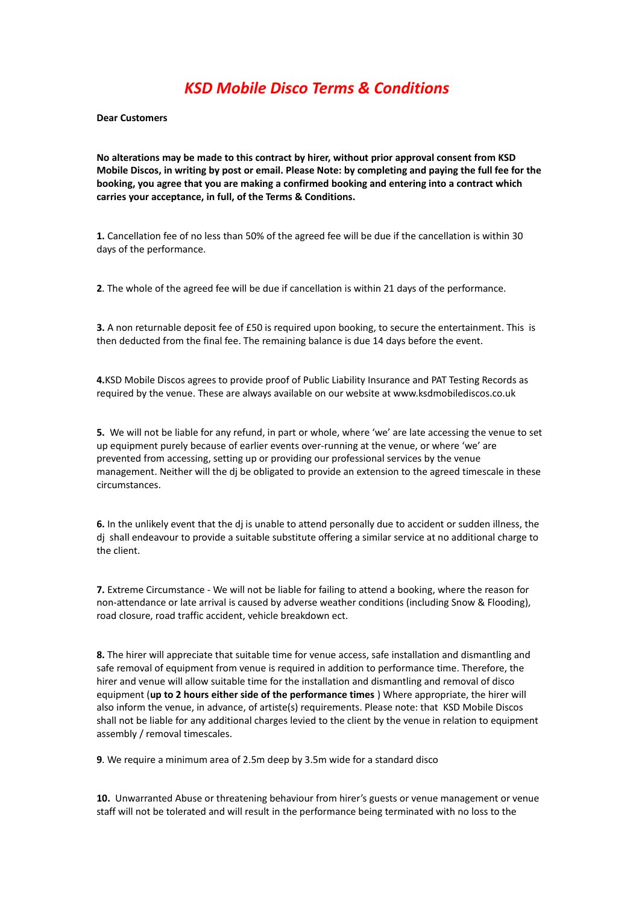## *KSD Mobile Disco Terms & Conditions*

**Dear Customers** 

**No alterations may be made to this contract by hirer, without prior approval consent from KSD Mobile Discos, in writing by post or email. Please Note: by completing and paying the full fee for the booking, you agree that you are making a confirmed booking and entering into a contract which carries your acceptance, in full, of the Terms & Conditions.**

**1.** Cancellation fee of no less than 50% of the agreed fee will be due if the cancellation is within 30 days of the performance.

**2**. The whole of the agreed fee will be due if cancellation is within 21 days of the performance.

**3.** A non returnable deposit fee of £50 is required upon booking, to secure the entertainment. This is then deducted from the final fee. The remaining balance is due 14 days before the event.

**4.**KSD Mobile Discos agrees to provide proof of Public Liability Insurance and PAT Testing Records as required by the venue. These are always available on our website at www.ksdmobilediscos.co.uk

**5.** We will not be liable for any refund, in part or whole, where 'we' are late accessing the venue to set up equipment purely because of earlier events over-running at the venue, or where 'we' are prevented from accessing, setting up or providing our professional services by the venue management. Neither will the dj be obligated to provide an extension to the agreed timescale in these circumstances.

**6.** In the unlikely event that the dj is unable to attend personally due to accident or sudden illness, the dj shall endeavour to provide a suitable substitute offering a similar service at no additional charge to the client.

**7.** Extreme Circumstance - We will not be liable for failing to attend a booking, where the reason for non-attendance or late arrival is caused by adverse weather conditions (including Snow & Flooding), road closure, road traffic accident, vehicle breakdown ect.

**8.** The hirer will appreciate that suitable time for venue access, safe installation and dismantling and safe removal of equipment from venue is required in addition to performance time. Therefore, the hirer and venue will allow suitable time for the installation and dismantling and removal of disco equipment (**up to 2 hours either side of the performance times** ) Where appropriate, the hirer will also inform the venue, in advance, of artiste(s) requirements. Please note: that KSD Mobile Discos shall not be liable for any additional charges levied to the client by the venue in relation to equipment assembly / removal timescales.

**9**. We require a minimum area of 2.5m deep by 3.5m wide for a standard disco

**10.** Unwarranted Abuse or threatening behaviour from hirer's guests or venue management or venue staff will not be tolerated and will result in the performance being terminated with no loss to the